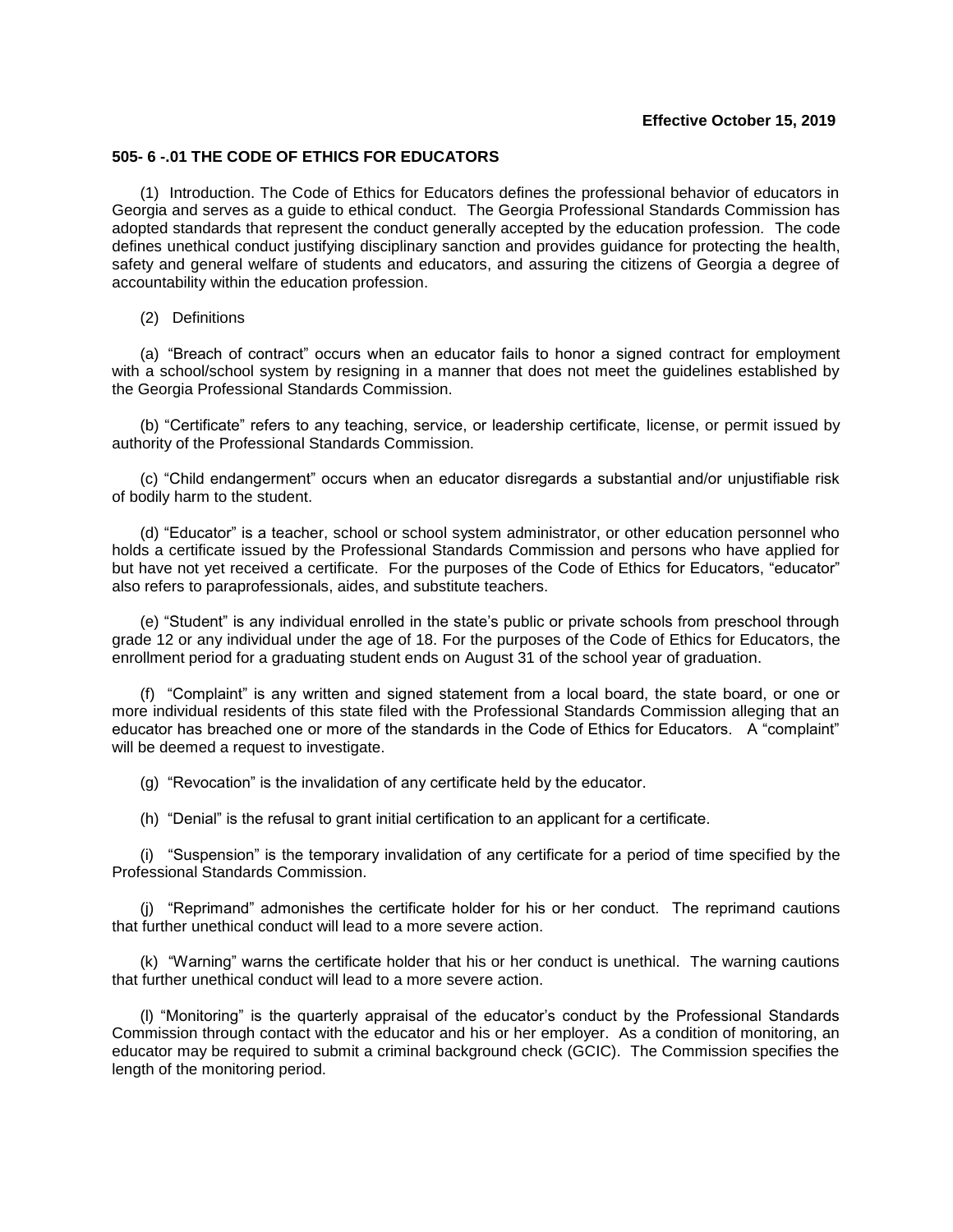## **Effective October 15, 2019**

## **505- 6 -.01 THE CODE OF ETHICS FOR EDUCATORS**

(1) Introduction. The Code of Ethics for Educators defines the professional behavior of educators in Georgia and serves as a guide to ethical conduct. The Georgia Professional Standards Commission has adopted standards that represent the conduct generally accepted by the education profession. The code defines unethical conduct justifying disciplinary sanction and provides guidance for protecting the health, safety and general welfare of students and educators, and assuring the citizens of Georgia a degree of accountability within the education profession.

## (2) Definitions

(a) "Breach of contract" occurs when an educator fails to honor a signed contract for employment with a school/school system by resigning in a manner that does not meet the guidelines established by the Georgia Professional Standards Commission.

(b) "Certificate" refers to any teaching, service, or leadership certificate, license, or permit issued by authority of the Professional Standards Commission.

(c) "Child endangerment" occurs when an educator disregards a substantial and/or unjustifiable risk of bodily harm to the student.

(d) "Educator" is a teacher, school or school system administrator, or other education personnel who holds a certificate issued by the Professional Standards Commission and persons who have applied for but have not yet received a certificate. For the purposes of the Code of Ethics for Educators, "educator" also refers to paraprofessionals, aides, and substitute teachers.

(e) "Student" is any individual enrolled in the state's public or private schools from preschool through grade 12 or any individual under the age of 18. For the purposes of the Code of Ethics for Educators, the enrollment period for a graduating student ends on August 31 of the school year of graduation.

(f) "Complaint" is any written and signed statement from a local board, the state board, or one or more individual residents of this state filed with the Professional Standards Commission alleging that an educator has breached one or more of the standards in the Code of Ethics for Educators. A "complaint" will be deemed a request to investigate.

(g) "Revocation" is the invalidation of any certificate held by the educator.

(h) "Denial" is the refusal to grant initial certification to an applicant for a certificate.

(i) "Suspension" is the temporary invalidation of any certificate for a period of time specified by the Professional Standards Commission.

(j) "Reprimand" admonishes the certificate holder for his or her conduct. The reprimand cautions that further unethical conduct will lead to a more severe action.

(k) "Warning" warns the certificate holder that his or her conduct is unethical. The warning cautions that further unethical conduct will lead to a more severe action.

(l) "Monitoring" is the quarterly appraisal of the educator's conduct by the Professional Standards Commission through contact with the educator and his or her employer. As a condition of monitoring, an educator may be required to submit a criminal background check (GCIC). The Commission specifies the length of the monitoring period.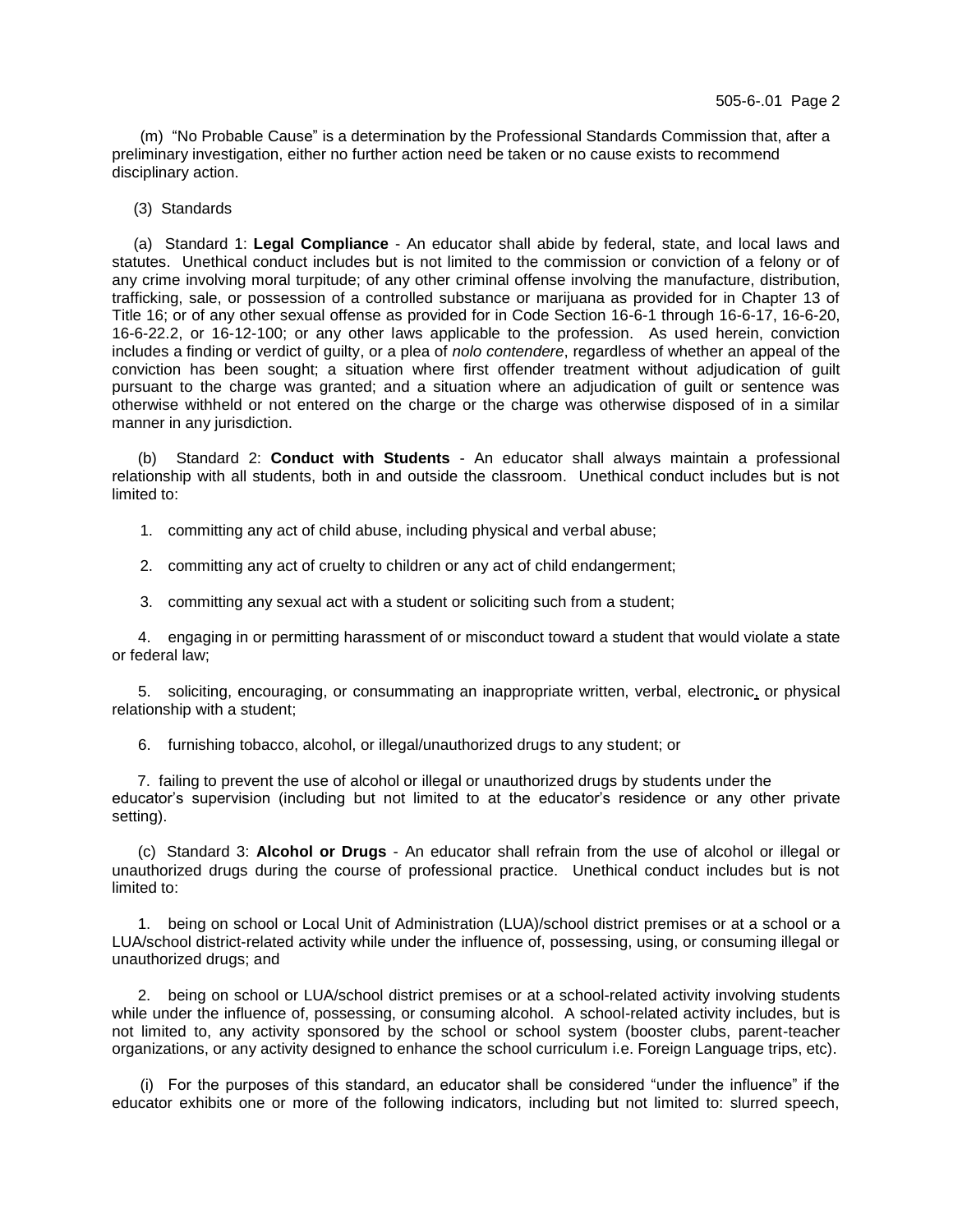(m) "No Probable Cause" is a determination by the Professional Standards Commission that, after a preliminary investigation, either no further action need be taken or no cause exists to recommend disciplinary action.

(3) Standards

 (a) Standard 1: **Legal Compliance** - An educator shall abide by federal, state, and local laws and statutes. Unethical conduct includes but is not limited to the commission or conviction of a felony or of any crime involving moral turpitude; of any other criminal offense involving the manufacture, distribution, trafficking, sale, or possession of a controlled substance or marijuana as provided for in Chapter 13 of Title 16; or of any other sexual offense as provided for in Code Section 16-6-1 through 16-6-17, 16-6-20, 16-6-22.2, or 16-12-100; or any other laws applicable to the profession. As used herein, conviction includes a finding or verdict of guilty, or a plea of *nolo contendere*, regardless of whether an appeal of the conviction has been sought; a situation where first offender treatment without adjudication of guilt pursuant to the charge was granted; and a situation where an adjudication of guilt or sentence was otherwise withheld or not entered on the charge or the charge was otherwise disposed of in a similar manner in any jurisdiction.

(b) Standard 2: **Conduct with Students** - An educator shall always maintain a professional relationship with all students, both in and outside the classroom. Unethical conduct includes but is not limited to:

- 1. committing any act of child abuse, including physical and verbal abuse;
- 2. committing any act of cruelty to children or any act of child endangerment;
- 3. committing any sexual act with a student or soliciting such from a student;

4. engaging in or permitting harassment of or misconduct toward a student that would violate a state or federal law;

5. soliciting, encouraging, or consummating an inappropriate written, verbal, electronic, or physical relationship with a student;

6. furnishing tobacco, alcohol, or illegal/unauthorized drugs to any student; or

7. failing to prevent the use of alcohol or illegal or unauthorized drugs by students under the educator's supervision (including but not limited to at the educator's residence or any other private setting).

(c) Standard 3: **Alcohol or Drugs** - An educator shall refrain from the use of alcohol or illegal or unauthorized drugs during the course of professional practice. Unethical conduct includes but is not limited to:

1. being on school or Local Unit of Administration (LUA)/school district premises or at a school or a LUA/school district-related activity while under the influence of, possessing, using, or consuming illegal or unauthorized drugs; and

2. being on school or LUA/school district premises or at a school-related activity involving students while under the influence of, possessing, or consuming alcohol. A school-related activity includes, but is not limited to, any activity sponsored by the school or school system (booster clubs, parent-teacher organizations, or any activity designed to enhance the school curriculum i.e. Foreign Language trips, etc).

(i) For the purposes of this standard, an educator shall be considered "under the influence" if the educator exhibits one or more of the following indicators, including but not limited to: slurred speech,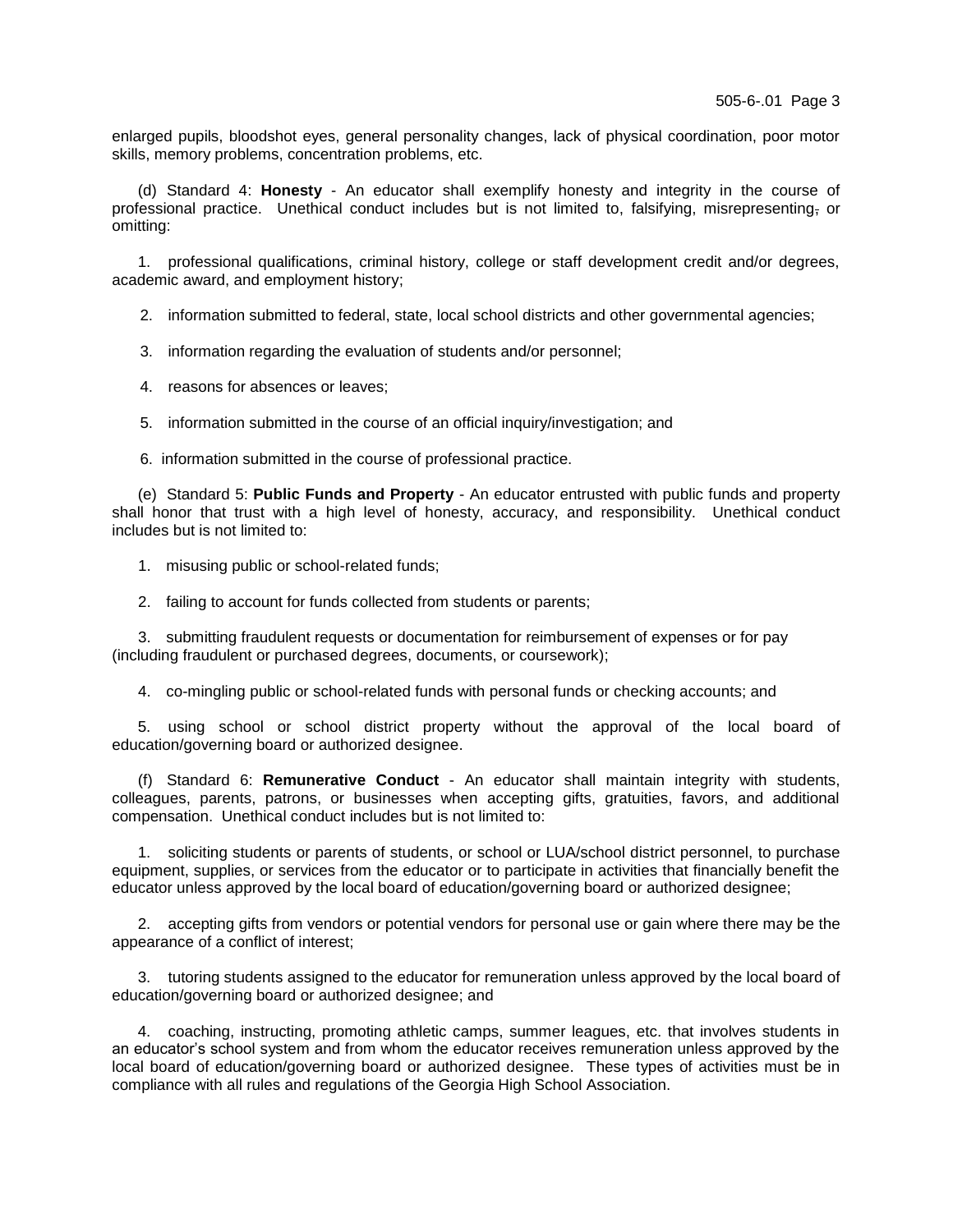enlarged pupils, bloodshot eyes, general personality changes, lack of physical coordination, poor motor skills, memory problems, concentration problems, etc.

(d) Standard 4: **Honesty** - An educator shall exemplify honesty and integrity in the course of professional practice. Unethical conduct includes but is not limited to, falsifying, misrepresenting, or omitting:

1. professional qualifications, criminal history, college or staff development credit and/or degrees, academic award, and employment history;

2. information submitted to federal, state, local school districts and other governmental agencies;

- 3. information regarding the evaluation of students and/or personnel;
- 4. reasons for absences or leaves;
- 5. information submitted in the course of an official inquiry/investigation; and
- 6. information submitted in the course of professional practice.

(e) Standard 5: **Public Funds and Property** - An educator entrusted with public funds and property shall honor that trust with a high level of honesty, accuracy, and responsibility. Unethical conduct includes but is not limited to:

- 1. misusing public or school-related funds;
- 2. failing to account for funds collected from students or parents;

3. submitting fraudulent requests or documentation for reimbursement of expenses or for pay (including fraudulent or purchased degrees, documents, or coursework);

4. co-mingling public or school-related funds with personal funds or checking accounts; and

5. using school or school district property without the approval of the local board of education/governing board or authorized designee.

(f) Standard 6: **Remunerative Conduct** - An educator shall maintain integrity with students, colleagues, parents, patrons, or businesses when accepting gifts, gratuities, favors, and additional compensation. Unethical conduct includes but is not limited to:

1. soliciting students or parents of students, or school or LUA/school district personnel, to purchase equipment, supplies, or services from the educator or to participate in activities that financially benefit the educator unless approved by the local board of education/governing board or authorized designee;

2. accepting gifts from vendors or potential vendors for personal use or gain where there may be the appearance of a conflict of interest;

3. tutoring students assigned to the educator for remuneration unless approved by the local board of education/governing board or authorized designee; and

4. coaching, instructing, promoting athletic camps, summer leagues, etc. that involves students in an educator's school system and from whom the educator receives remuneration unless approved by the local board of education/governing board or authorized designee. These types of activities must be in compliance with all rules and regulations of the Georgia High School Association.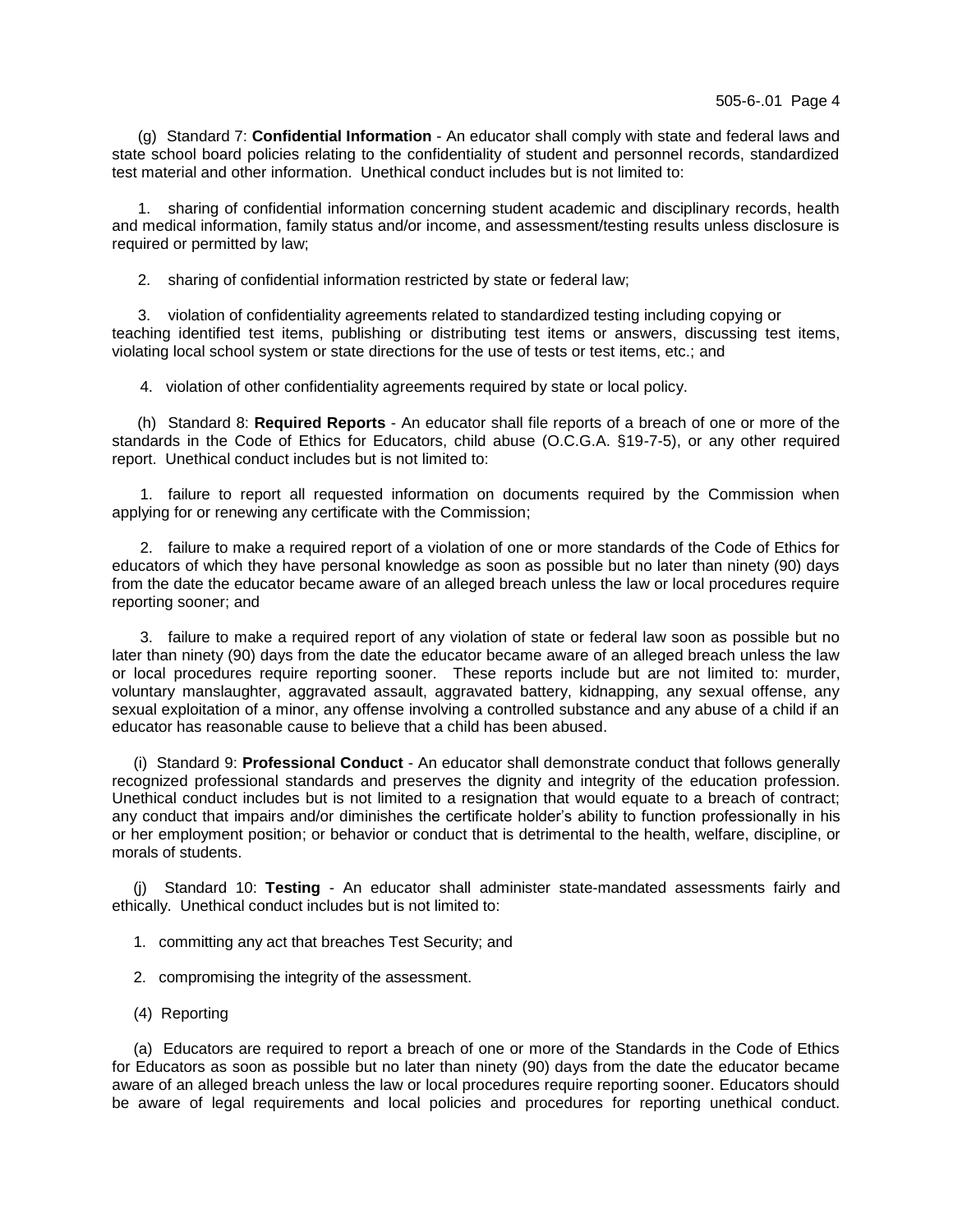(g) Standard 7: **Confidential Information** - An educator shall comply with state and federal laws and state school board policies relating to the confidentiality of student and personnel records, standardized test material and other information. Unethical conduct includes but is not limited to:

1. sharing of confidential information concerning student academic and disciplinary records, health and medical information, family status and/or income, and assessment/testing results unless disclosure is required or permitted by law;

2. sharing of confidential information restricted by state or federal law;

3. violation of confidentiality agreements related to standardized testing including copying or teaching identified test items, publishing or distributing test items or answers, discussing test items, violating local school system or state directions for the use of tests or test items, etc.; and

4. violation of other confidentiality agreements required by state or local policy.

(h) Standard 8: **Required Reports** - An educator shall file reports of a breach of one or more of the standards in the Code of Ethics for Educators, child abuse (O.C.G.A. §19-7-5), or any other required report. Unethical conduct includes but is not limited to:

1. failure to report all requested information on documents required by the Commission when applying for or renewing any certificate with the Commission;

2. failure to make a required report of a violation of one or more standards of the Code of Ethics for educators of which they have personal knowledge as soon as possible but no later than ninety (90) days from the date the educator became aware of an alleged breach unless the law or local procedures require reporting sooner; and

3. failure to make a required report of any violation of state or federal law soon as possible but no later than ninety (90) days from the date the educator became aware of an alleged breach unless the law or local procedures require reporting sooner. These reports include but are not limited to: murder, voluntary manslaughter, aggravated assault, aggravated battery, kidnapping, any sexual offense, any sexual exploitation of a minor, any offense involving a controlled substance and any abuse of a child if an educator has reasonable cause to believe that a child has been abused.

 (i) Standard 9: **Professional Conduct** - An educator shall demonstrate conduct that follows generally recognized professional standards and preserves the dignity and integrity of the education profession. Unethical conduct includes but is not limited to a resignation that would equate to a breach of contract; any conduct that impairs and/or diminishes the certificate holder's ability to function professionally in his or her employment position; or behavior or conduct that is detrimental to the health, welfare, discipline, or morals of students.

 (j)Standard 10: **Testing** - An educator shall administer state-mandated assessments fairly and ethically. Unethical conduct includes but is not limited to:

- 1. committing any act that breaches Test Security; and
- 2. compromising the integrity of the assessment.
- (4) Reporting

 (a) Educators are required to report a breach of one or more of the Standards in the Code of Ethics for Educators as soon as possible but no later than ninety (90) days from the date the educator became aware of an alleged breach unless the law or local procedures require reporting sooner. Educators should be aware of legal requirements and local policies and procedures for reporting unethical conduct.